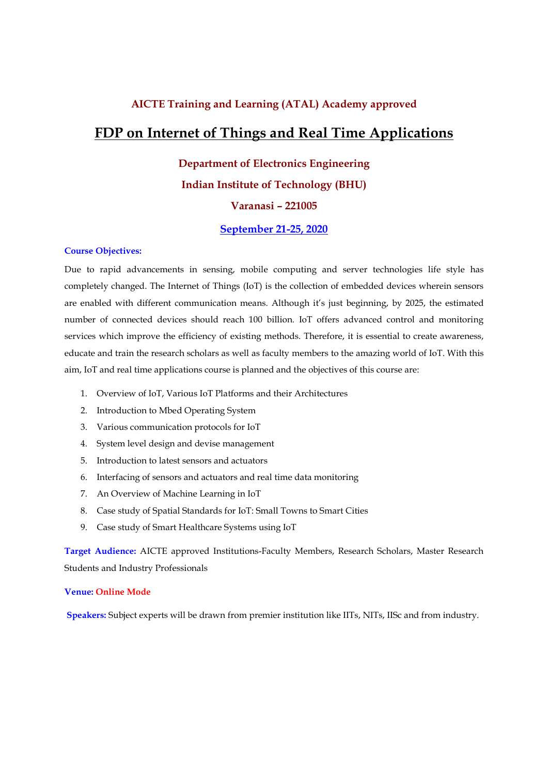## AICTE Training and Learning (ATAL) Academy approved

# FDP on Internet of Things and Real Time Applications

# Department of Electronics Engineering Indian Institute of Technology (BHU) Varanasi – 221005

September 21-25, 2020

#### Course Objectives:

Due to rapid advancements in sensing, mobile computing and server technologies life style has completely changed. The Internet of Things (IoT) is the collection of embedded devices wherein sensors are enabled with different communication means. Although it's just beginning, by 2025, the estimated number of connected devices should reach 100 billion. IoT offers advanced control and monitoring services which improve the efficiency of existing methods. Therefore, it is essential to create awareness, educate and train the research scholars as well as faculty members to the amazing world of IoT. With this aim, IoT and real time applications course is planned and the objectives of this course are:

- 1. Overview of IoT, Various IoT Platforms and their Architectures
- 2. Introduction to Mbed Operating System
- 3. Various communication protocols for IoT
- 4. System level design and devise management
- 5. Introduction to latest sensors and actuators
- 6. Interfacing of sensors and actuators and real time data monitoring
- 7. An Overview of Machine Learning in IoT
- 8. Case study of Spatial Standards for IoT: Small Towns to Smart Cities
- 9. Case study of Smart Healthcare Systems using IoT

Target Audience: AICTE approved Institutions-Faculty Members, Research Scholars, Master Research Students and Industry Professionals

#### Venue: Online Mode

Speakers: Subject experts will be drawn from premier institution like IITs, NITs, IISc and from industry.